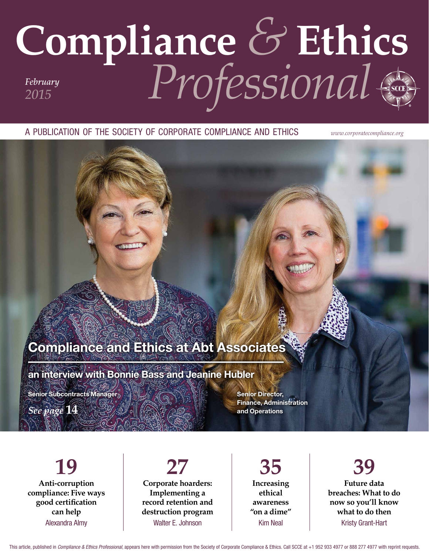## **Compliance** *&* **Ethics** *Professional February 2015*

A PUBLICATION OF THE SOCIETY OF CORPORATE COMPLIANCE AND ETHICS *www.corporatecompliance.org*

### Compliance and Ethics at Abt Associates

an interview with Bonnie Bass and Jeanine Hubler

Senior Subcontracts Manager $_{\mathcal{D}}$ 

*See page* **14**

Senior Director, Finance, Administration and Operations

**19 Anti-corruption compliance: Five ways good certifcation can help** Alexandra Almy

#### **27 Corporate hoarders: Implementing a record retention and destruction program** Walter E. Johnson

**35 Increasing ethical awareness "on a dime"** Kim Neal

**39 Future data breaches: What to do now so you'll know what to do then** Kristy Grant-Hart

This article, published in Compliance & Ethics Professional, appears here with permission from the Society of Corporate Compliance & Ethics. Call SCCE at +1 952 933 4977 or 888 277 4977 with reprint requests.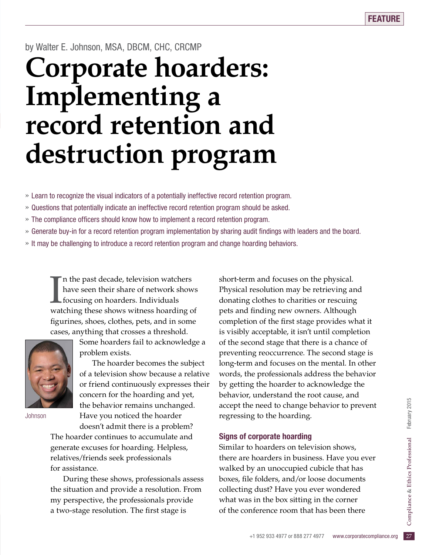#### by Walter E. Johnson, MSA, DBCM, CHC, CRCMP

# **Corporate hoarders: Implementing a record retention and destruction program**

» Learn to recognize the visual indicators of a potentially ineffective record retention program.

- » Questions that potentially indicate an ineffective record retention program should be asked.
- » The compliance officers should know how to implement a record retention program.
- » Generate buy-in for a record retention program implementation by sharing audit fndings with leaders and the board.
- » It may be challenging to introduce a record retention program and change hoarding behaviors.

In the past decade, television watchers<br>have seen their share of network shows<br>focusing on hoarders. Individuals<br>watching these shows witness hoarding of n the past decade, television watchers have seen their share of network shows focusing on hoarders. Individuals fgurines, shoes, clothes, pets, and in some cases, anything that crosses a threshold.



Johnson

Some hoarders fail to acknowledge a problem exists.

The hoarder becomes the subject of a television show because a relative or friend continuously expresses their concern for the hoarding and yet, the behavior remains unchanged. Have you noticed the hoarder

doesn't admit there is a problem? The hoarder continues to accumulate and generate excuses for hoarding. Helpless, relatives/friends seek professionals for assistance.

During these shows, professionals assess the situation and provide a resolution. From my perspective, the professionals provide a two-stage resolution. The first stage is

short-term and focuses on the physical. Physical resolution may be retrieving and donating clothes to charities or rescuing pets and fnding new owners. Although completion of the frst stage provides what it is visibly acceptable, it isn't until completion of the second stage that there is a chance of preventing reoccurrence. The second stage is long-term and focuses on the mental. In other words, the professionals address the behavior by getting the hoarder to acknowledge the behavior, understand the root cause, and accept the need to change behavior to prevent regressing to the hoarding.

#### Signs of corporate hoarding

what was in the box sitting in the corner<br>
of the conference room that has been there<br>  $+1$  952 933 4977 or 888 277 4977 www.corporatecompliance.org 27 Similar to hoarders on television shows, there are hoarders in business. Have you ever walked by an unoccupied cubicle that has boxes, fle folders, and/or loose documents collecting dust? Have you ever wondered of the conference room that has been there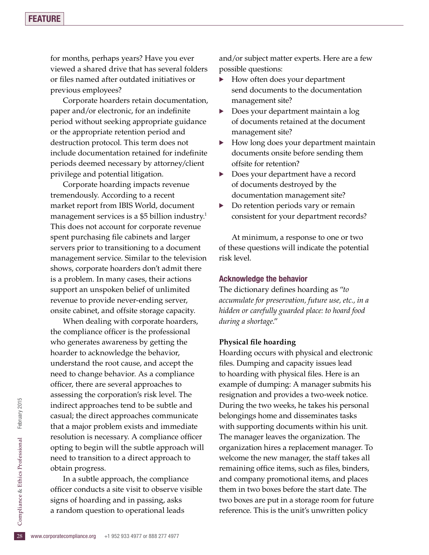#### **FEATURE**

for months, perhaps years? Have you ever viewed a shared drive that has several folders or fles named after outdated initiatives or previous employees?

Corporate hoarders retain documentation, paper and/or electronic, for an indefinite period without seeking appropriate guidance or the appropriate retention period and destruction protocol. This term does not include documentation retained for indefnite periods deemed necessary by attorney/client privilege and potential litigation.

Corporate hoarding impacts revenue tremendously. According to a recent market report from IBIS World, document management services is a \$5 billion industry.<sup>1</sup> This does not account for corporate revenue spent purchasing file cabinets and larger servers prior to transitioning to a document management service. Similar to the television shows, corporate hoarders don't admit there is a problem. In many cases, their actions support an unspoken belief of unlimited revenue to provide never-ending server, onsite cabinet, and offsite storage capacity.

When dealing with corporate hoarders, the compliance officer is the professional who generates awareness by getting the hoarder to acknowledge the behavior, understand the root cause, and accept the need to change behavior. As a compliance officer, there are several approaches to assessing the corporation's risk level. The indirect approaches tend to be subtle and casual; the direct approaches communicate that a major problem exists and immediate resolution is necessary. A compliance officer opting to begin will the subtle approach will need to transition to a direct approach to obtain progress.

28 signs of hoarding and in passing, asks<br>
a random question to operational leads<br>  $\frac{5}{28}$  www.corporatecompliance.org +1 952 933 4977 or 888 277 4977 In a subtle approach, the compliance officer conducts a site visit to observe visible a random question to operational leads

and/or subject matter experts. Here are a few possible questions:

- How often does your department send documents to the documentation management site?
- Does your department maintain a log of documents retained at the document management site?
- How long does your department maintain documents onsite before sending them offsite for retention?
- Does your department have a record of documents destroyed by the documentation management site?
- Do retention periods vary or remain consistent for your department records?

At minimum, a response to one or two of these questions will indicate the potential risk level.

#### Acknowledge the behavior

The dictionary defnes hoarding as "*to accumulate for preservation, future use, etc., in a hidden or carefully guarded place: to hoard food during a shortage*."

#### **Physical fle hoarding**

Hoarding occurs with physical and electronic files. Dumping and capacity issues lead to hoarding with physical files. Here is an example of dumping: A manager submits his resignation and provides a two-week notice. During the two weeks, he takes his personal belongings home and disseminates tasks with supporting documents within his unit. The manager leaves the organization. The organization hires a replacement manager. To welcome the new manager, the staff takes all remaining office items, such as files, binders, and company promotional items, and places them in two boxes before the start date. The two boxes are put in a storage room for future reference. This is the unit's unwritten policy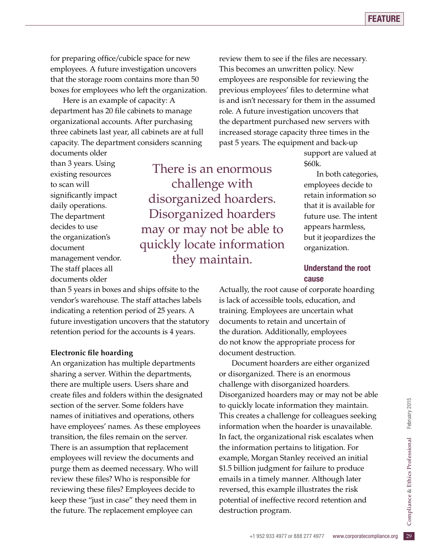for preparing office/cubicle space for new employees. A future investigation uncovers that the storage room contains more than 50 boxes for employees who left the organization.

Here is an example of capacity: A department has 20 file cabinets to manage organizational accounts. After purchasing three cabinets last year, all cabinets are at full capacity. The department considers scanning

documents older than 3 years. Using existing resources to scan will significantly impact daily operations. The department decides to use the organization's document management vendor. The staff places all documents older

There is an enormous challenge with disorganized hoarders. Disorganized hoarders may or may not be able to quickly locate information they maintain.

review them to see if the files are necessary. This becomes an unwritten policy. New employees are responsible for reviewing the previous employees' fles to determine what is and isn't necessary for them in the assumed role. A future investigation uncovers that the department purchased new servers with increased storage capacity three times in the past 5 years. The equipment and back-up

> support are valued at \$60k.

In both categories, employees decide to retain information so that it is available for future use. The intent appears harmless, but it jeopardizes the organization.

#### Understand the root cause

than 5 years in boxes and ships offsite to the vendor's warehouse. The staff attaches labels indicating a retention period of 25 years. A future investigation uncovers that the statutory retention period for the accounts is 4 years.

#### **Electronic fle hoarding**

An organization has multiple departments sharing a server. Within the departments, there are multiple users. Users share and create fles and folders within the designated section of the server. Some folders have names of initiatives and operations, others have employees' names. As these employees transition, the fles remain on the server. There is an assumption that replacement employees will review the documents and purge them as deemed necessary. Who will review these fles? Who is responsible for reviewing these fles? Employees decide to keep these "just in case" they need them in the future. The replacement employee can

Actually, the root cause of corporate hoarding is lack of accessible tools, education, and training. Employees are uncertain what documents to retain and uncertain of the duration. Additionally, employees do not know the appropriate process for document destruction.

potential of ineffective record retention and<br>destruction program.<br>+1 952 933 4977 or 888 277 4977 www.corporatecompliance.org 29 Document hoarders are either organized or disorganized. There is an enormous challenge with disorganized hoarders. Disorganized hoarders may or may not be able to quickly locate information they maintain. This creates a challenge for colleagues seeking information when the hoarder is unavailable. In fact, the organizational risk escalates when the information pertains to litigation. For example, Morgan Stanley received an initial \$1.5 billion judgment for failure to produce emails in a timely manner. Although later reversed, this example illustrates the risk destruction program.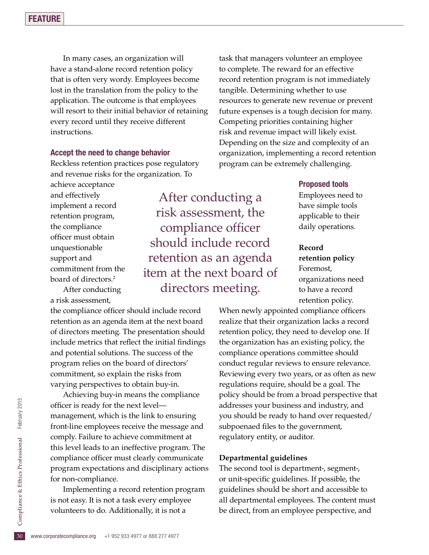In many cases, an organization will have a stand-alone record retention policy that is often very wordy. Employees become lost in the translation from the policy to the application. The outcome is that employees will resort to their initial behavior of retaining every record until they receive different instructions.

#### Accept the need to change behavior

Reckless retention practices pose regulatory and revenue risks for the organization. To

achieve acceptance and effectively implement a record retention program, the compliance officer must obtain unquestionable support and commitment from the board of directors.2

After conducting a risk assessment,

the compliance officer should include record retention as an agenda item at the next board of directors meeting. The presentation should include metrics that reflect the initial findings and potential solutions. The success of the program relies on the board of directors' commitment, so explain the risks from varying perspectives to obtain buy-in.

Achieving buy-in means the compliance officer is ready for the next levelmanagement, which is the link to ensuring front-line employees receive the message and comply. Failure to achieve commitment at this level leads to an ineffective program. The compliance officer must clearly communicate program expectations and disciplinary actions for non-compliance.

10 is not easy. It is not a task every employee<br>
volunteers to do. Additionally, it is not a<br>
<sup>30</sup> www.corporatecompliance.org +1 952 933 4977 or 888 277 4977 Implementing a record retention program volunteers to do. Additionally, it is not a

After conducting a risk assessment, the compliance officer should include record retention as an agenda item at the next board of directors meeting.

task that managers volunteer an employee to complete. The reward for an effective record retention program is not immediately tangible. Determining whether to use resources to generate new revenue or prevent future expenses is a tough decision for many. Competing priorities containing higher risk and revenue impact will likely exist. Depending on the size and complexity of an organization, implementing a record retention program can be extremely challenging.

#### Proposed tools

Employees need to have simple tools applicable to their daily operations.

#### **Record**

**retention policy** Foremost, organizations need to have a record retention policy.

When newly appointed compliance officers realize that their organization lacks a record retention policy, they need to develop one. If the organization has an existing policy, the compliance operations committee should conduct regular reviews to ensure relevance. Reviewing every two years, or as often as new regulations require, should be a goal. The policy should be from a broad perspective that addresses your business and industry, and you should be ready to hand over requested/ subpoenaed files to the government, regulatory entity, or auditor.

#### **Departmental guidelines**

The second tool is department-, segment-, or unit-specifc guidelines. If possible, the guidelines should be short and accessible to all departmental employees. The content must be direct, from an employee perspective, and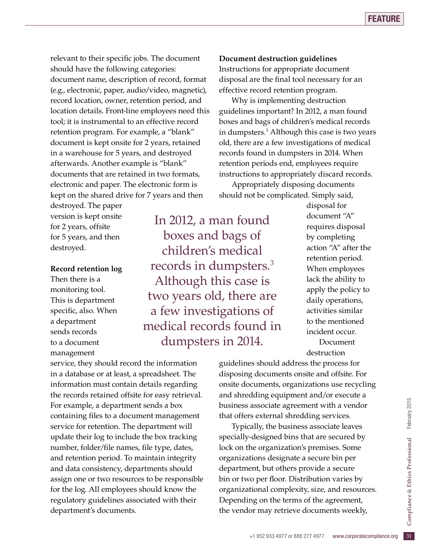relevant to their specific jobs. The document should have the following categories: document name, description of record, format (e.g., electronic, paper, audio/video, magnetic), record location, owner, retention period, and location details. Front-line employees need this tool; it is instrumental to an effective record retention program. For example, a "blank" document is kept onsite for 2 years, retained in a warehouse for 5 years, and destroyed afterwards. Another example is "blank" documents that are retained in two formats, electronic and paper. The electronic form is kept on the shared drive for 7 years and then

destroyed. The paper version is kept onsite for 2 years, offsite for 5 years, and then destroyed.

#### **Record retention log**

Then there is a monitoring tool. This is department specific, also. When a department sends records to a document management

In 2012, a man found boxes and bags of children's medical records in dumpsters.3 Although this case is two years old, there are a few investigations of medical records found in dumpsters in 2014.

service, they should record the information in a database or at least, a spreadsheet. The information must contain details regarding the records retained offsite for easy retrieval. For example, a department sends a box containing fles to a document management service for retention. The department will update their log to include the box tracking number, folder/file names, file type, dates, and retention period. To maintain integrity and data consistency, departments should assign one or two resources to be responsible for the log. All employees should know the regulatory guidelines associated with their department's documents.

#### **Document destruction guidelines**

Instructions for appropriate document disposal are the final tool necessary for an effective record retention program.

Why is implementing destruction guidelines important? In 2012, a man found boxes and bags of children's medical records in dumpsters.3 Although this case is two years old, there are a few investigations of medical records found in dumpsters in 2014. When retention periods end, employees require instructions to appropriately discard records.

Appropriately disposing documents should not be complicated. Simply said,

> disposal for document "A" requires disposal by completing action "A" after the retention period. When employees lack the ability to apply the policy to daily operations, activities similar to the mentioned incident occur. Document destruction

guidelines should address the process for disposing documents onsite and offsite. For onsite documents, organizations use recycling and shredding equipment and/or execute a business associate agreement with a vendor that offers external shredding services.

ng on the terms of the agreement,<br>
or may retrieve documents weekly,<br>
+1 952 933 4977 or 888 277 4977 www.corporatecompliance.org 31 Typically, the business associate leaves specially-designed bins that are secured by lock on the organization's premises. Some organizations designate a secure bin per department, but others provide a secure bin or two per floor. Distribution varies by organizational complexity, size, and resources. Depending on the terms of the agreement, the vendor may retrieve documents weekly,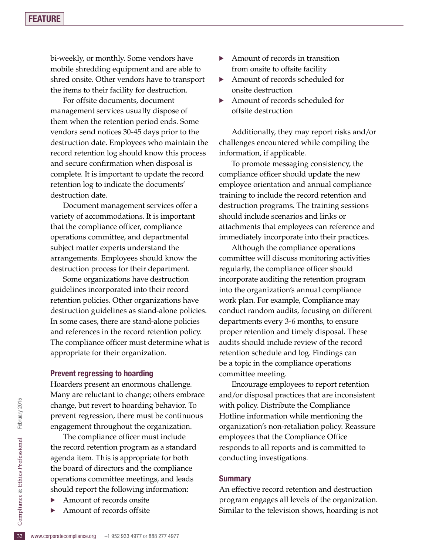bi-weekly, or monthly. Some vendors have mobile shredding equipment and are able to shred onsite. Other vendors have to transport the items to their facility for destruction.

For offsite documents, document management services usually dispose of them when the retention period ends. Some vendors send notices 30-45 days prior to the destruction date. Employees who maintain the record retention log should know this process and secure confrmation when disposal is complete. It is important to update the record retention log to indicate the documents' destruction date.

Document management services offer a variety of accommodations. It is important that the compliance officer, compliance operations committee, and departmental subject matter experts understand the arrangements. Employees should know the destruction process for their department.

Some organizations have destruction guidelines incorporated into their record retention policies. Other organizations have destruction guidelines as stand-alone policies. In some cases, there are stand-alone policies and references in the record retention policy. The compliance officer must determine what is appropriate for their organization.

#### Prevent regressing to hoarding

Hoarders present an enormous challenge. Many are reluctant to change; others embrace change, but revert to hoarding behavior. To prevent regression, there must be continuous engagement throughout the organization.

The compliance officer must include the record retention program as a standard agenda item. This is appropriate for both the board of directors and the compliance operations committee meetings, and leads should report the following information:

- · Amount of records onsite
- Amount of records offsite
- Amount of records in transition from onsite to offsite facility
- Amount of records scheduled for onsite destruction
- Amount of records scheduled for offsite destruction

Additionally, they may report risks and/or challenges encountered while compiling the information, if applicable.

To promote messaging consistency, the compliance officer should update the new employee orientation and annual compliance training to include the record retention and destruction programs. The training sessions should include scenarios and links or attachments that employees can reference and immediately incorporate into their practices.

Although the compliance operations committee will discuss monitoring activities regularly, the compliance officer should incorporate auditing the retention program into the organization's annual compliance work plan. For example, Compliance may conduct random audits, focusing on different departments every 3-6 months, to ensure proper retention and timely disposal. These audits should include review of the record retention schedule and log. Findings can be a topic in the compliance operations committee meeting.

Encourage employees to report retention and/or disposal practices that are inconsistent with policy. Distribute the Compliance Hotline information while mentioning the organization's non-retaliation policy. Reassure employees that the Compliance Office responds to all reports and is committed to conducting investigations.

#### **Summary**

An effective record retention and destruction program engages all levels of the organization. Similar to the television shows, hoarding is not